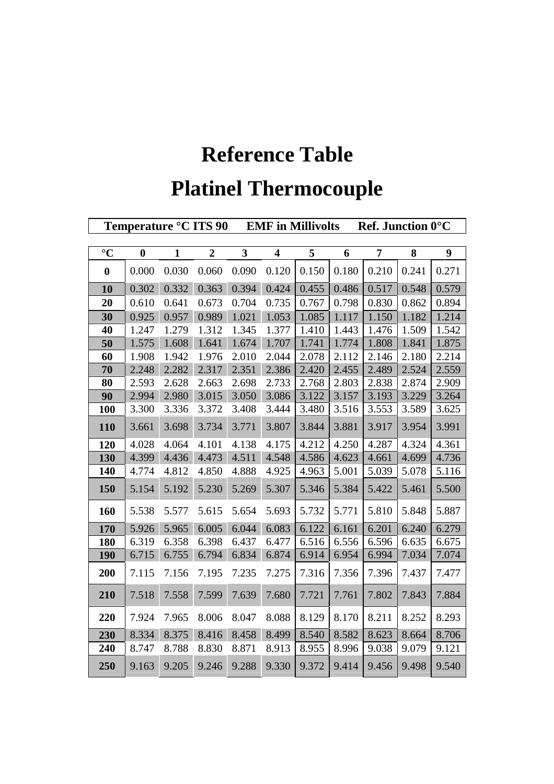## **Reference Table Platinel Thermocouple**

| Temperature °C ITS 90 |                  | <b>EMF</b> in Millivolts<br><b>Ref.</b> Junction $0^{\circ}$ C |                  |              |                         |       |       |       |       |       |
|-----------------------|------------------|----------------------------------------------------------------|------------------|--------------|-------------------------|-------|-------|-------|-------|-------|
|                       |                  |                                                                |                  |              |                         |       |       |       |       |       |
| $\rm ^{\circ}C$       | $\boldsymbol{0}$ | $\mathbf{1}$                                                   | $\boldsymbol{2}$ | $\mathbf{3}$ | $\overline{\mathbf{4}}$ | 5     | 6     | 7     | 8     | 9     |
| $\boldsymbol{0}$      | 0.000            | 0.030                                                          | 0.060            | 0.090        | 0.120                   | 0.150 | 0.180 | 0.210 | 0.241 | 0.271 |
| 10                    | 0.302            | 0.332                                                          | 0.363            | 0.394        | 0.424                   | 0.455 | 0.486 | 0.517 | 0.548 | 0.579 |
| 20                    | 0.610            | 0.641                                                          | 0.673            | 0.704        | 0.735                   | 0.767 | 0.798 | 0.830 | 0.862 | 0.894 |
| 30                    | 0.925            | 0.957                                                          | 0.989            | 1.021        | 1.053                   | 1.085 | 1.117 | 1.150 | 1.182 | 1.214 |
| 40                    | 1.247            | 1.279                                                          | 1.312            | 1.345        | 1.377                   | 1.410 | 1.443 | 1.476 | 1.509 | 1.542 |
| 50                    | 1.575            | 1.608                                                          | 1.641            | 1.674        | 1.707                   | 1.741 | 1.774 | 1.808 | 1.841 | 1.875 |
| 60                    | 1.908            | 1.942                                                          | 1.976            | 2.010        | 2.044                   | 2.078 | 2.112 | 2.146 | 2.180 | 2.214 |
| 70                    | 2.248            | 2.282                                                          | 2.317            | 2.351        | 2.386                   | 2.420 | 2.455 | 2.489 | 2.524 | 2.559 |
| 80                    | 2.593            | 2.628                                                          | 2.663            | 2.698        | 2.733                   | 2.768 | 2.803 | 2.838 | 2.874 | 2.909 |
| 90                    | 2.994            | 2.980                                                          | 3.015            | 3.050        | 3.086                   | 3.122 | 3.157 | 3.193 | 3.229 | 3.264 |
| <b>100</b>            | 3.300            | 3.336                                                          | 3.372            | 3.408        | 3.444                   | 3.480 | 3.516 | 3.553 | 3.589 | 3.625 |
| <b>110</b>            | 3.661            | 3.698                                                          | 3.734            | 3.771        | 3.807                   | 3.844 | 3.881 | 3.917 | 3.954 | 3.991 |
| 120                   | 4.028            | 4.064                                                          | 4.101            | 4.138        | 4.175                   | 4.212 | 4.250 | 4.287 | 4.324 | 4.361 |
| 130                   | 4.399            | 4.436                                                          | 4.473            | 4.511        | 4.548                   | 4.586 | 4.623 | 4.661 | 4.699 | 4.736 |
| 140                   | 4.774            | 4.812                                                          | 4.850            | 4.888        | 4.925                   | 4.963 | 5.001 | 5.039 | 5.078 | 5.116 |
| 150                   | 5.154            | 5.192                                                          | 5.230            | 5.269        | 5.307                   | 5.346 | 5.384 | 5.422 | 5.461 | 5.500 |
| 160                   | 5.538            | 5.577                                                          | 5.615            | 5.654        | 5.693                   | 5.732 | 5.771 | 5.810 | 5.848 | 5.887 |
| 170                   | 5.926            | 5.965                                                          | 6.005            | 6.044        | 6.083                   | 6.122 | 6.161 | 6.201 | 6.240 | 6.279 |
| <b>180</b>            | 6.319            | 6.358                                                          | 6.398            | 6.437        | 6.477                   | 6.516 | 6.556 | 6.596 | 6.635 | 6.675 |
| <b>190</b>            | 6.715            | 6.755                                                          | 6.794            | 6.834        | 6.874                   | 6.914 | 6.954 | 6.994 | 7.034 | 7.074 |
| 200                   | 7.115            | 7.156                                                          | 7.195            | 7.235        | 7.275                   | 7.316 | 7.356 | 7.396 | 7.437 | 7.477 |
| 210                   | 7.518            | 7.558                                                          | 7.599            | 7.639        | 7.680                   | 7.721 | 7.761 | 7.802 | 7.843 | 7.884 |
| 220                   | 7.924            | 7.965                                                          | 8.006            | 8.047        | 8.088                   | 8.129 | 8.170 | 8.211 | 8.252 | 8.293 |
| 230                   | 8.334            | 8.375                                                          | 8.416            | 8.458        | 8.499                   | 8.540 | 8.582 | 8.623 | 8.664 | 8.706 |
| 240                   | 8.747            | 8.788                                                          | 8.830            | 8.871        | 8.913                   | 8.955 | 8.996 | 9.038 | 9.079 | 9.121 |
| 250                   | 9.163            | 9.205                                                          | 9.246            | 9.288        | 9.330                   | 9.372 | 9.414 | 9.456 | 9.498 | 9.540 |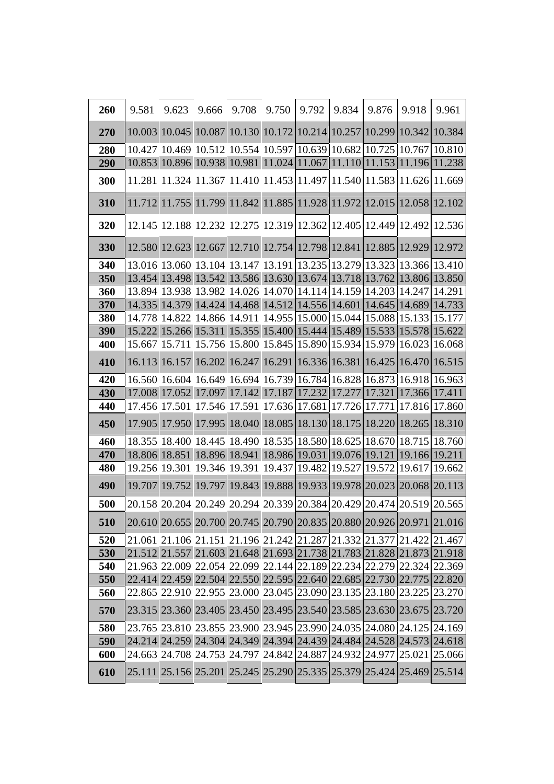| 260 | 9.581  | 9.623                                                                 | 9.666  | 9.708                | 9.750  | 9.792  | 9.834                | 9.876  | 9.918         | 9.961                                                                 |
|-----|--------|-----------------------------------------------------------------------|--------|----------------------|--------|--------|----------------------|--------|---------------|-----------------------------------------------------------------------|
| 270 |        | 10.003 10.045 10.087 10.130 10.172 10.214 10.257 10.299 10.342        |        |                      |        |        |                      |        |               | 10.384                                                                |
| 280 |        | 10.427 10.469 10.512 10.554 10.597 10.639 10.682 10.725               |        |                      |        |        |                      |        |               | 10.767 10.810                                                         |
| 290 |        | 10.853 10.896 10.938 10.981 11.024 11.067 11.110 11.153 11.196 11.238 |        |                      |        |        |                      |        |               |                                                                       |
| 300 |        | 11.281 11.324 11.367 11.410 11.453 11.497 11.540 11.583 11.626 11.669 |        |                      |        |        |                      |        |               |                                                                       |
| 310 |        | 11.712 11.755 11.799 11.842 11.885 11.928 11.972 12.015 12.058 12.102 |        |                      |        |        |                      |        |               |                                                                       |
| 320 |        | 12.145 12.188 12.232 12.275 12.319 12.362 12.405 12.449 12.492        |        |                      |        |        |                      |        |               | 12.536                                                                |
| 330 |        | 12.580 12.623 12.667 12.710 12.754 12.798 12.841 12.885 12.929 12.972 |        |                      |        |        |                      |        |               |                                                                       |
| 340 |        | 13.016 13.060 13.104 13.147 13.191 13.235 13.279 13.323               |        |                      |        |        |                      |        |               | 13.366 13.410                                                         |
| 350 |        | 13.454 13.498 13.542 13.586 13.630 13.674 13.718 13.762               |        |                      |        |        |                      |        |               | 13.806 13.850                                                         |
| 360 |        | 13.894 13.938 13.982 14.026 14.070 14.114 14.159 14.203               |        |                      |        |        |                      |        | 14.247        | 14.291                                                                |
| 370 |        | 14.335 14.379 14.424 14.468 14.512 14.556 14.601 14.645 14.689 14.733 |        |                      |        |        |                      |        |               |                                                                       |
| 380 |        | 14.778 14.822 14.866 14.911 14.955 15.000 15.044 15.088 15.133 15.177 |        |                      |        |        |                      |        |               |                                                                       |
| 390 |        | 15.222 15.266 15.311 15.355 15.400 15.444 15.489 15.533 15.578 15.622 |        |                      |        |        |                      |        |               |                                                                       |
| 400 |        | 15.667 15.711 15.756 15.800 15.845 15.890 15.934 15.979               |        |                      |        |        |                      |        | 16.023 16.068 |                                                                       |
| 410 |        | 16.113 16.157                                                         |        | 16.202 16.247 16.291 |        |        | 16.336 16.381        | 16.425 | 16.470        | 16.515                                                                |
| 420 |        | 16.560 16.604 16.649 16.694 16.739 16.784 16.828 16.873               |        |                      |        |        |                      |        | 16.918        | 16.963                                                                |
| 430 |        | 17.008 17.052 17.097 17.142 17.187 17.232 17.277                      |        |                      |        |        |                      | 17.321 |               | 17.366 17.411                                                         |
| 440 |        | 17.456 17.501 17.546 17.591 17.636 17.681 17.726 17.771               |        |                      |        |        |                      |        |               | 17.816 17.860                                                         |
| 450 |        | 17.905 17.950 17.995 18.040 18.085 18.130 18.175                      |        |                      |        |        |                      | 18.220 | 18.265        | 18.310                                                                |
| 460 |        | 18.355 18.400 18.445 18.490 18.535 18.580 18.625 18.670               |        |                      |        |        |                      |        | 18.715        | 18.760                                                                |
| 470 |        | 18.806 18.851 18.896 18.941 18.986 19.031 19.076 19.121               |        |                      |        |        |                      |        |               | 19.166 19.211                                                         |
| 480 |        | 19.256 19.301 19.346 19.391 19.437                                    |        |                      |        | 19.482 | 19.527               | 19.572 | 19.617        | 19.662                                                                |
| 490 | 19.707 | 19.752                                                                | 19.797 | 19.843               | 19.888 |        | 19.933 19.978 20.023 |        | 20.068        | 20.113                                                                |
| 500 |        | 20.158 20.204 20.249 20.294 20.339 20.384 20.429 20.474 20.519 20.565 |        |                      |        |        |                      |        |               |                                                                       |
| 510 |        |                                                                       |        |                      |        |        |                      |        |               | 20.610 20.655 20.700 20.745 20.790 20.835 20.880 20.926 20.971 21.016 |
| 520 |        |                                                                       |        |                      |        |        |                      |        |               | 21.061 21.106 21.151 21.196 21.242 21.287 21.332 21.377 21.422 21.467 |
| 530 |        |                                                                       |        |                      |        |        |                      |        |               | 21.512 21.557 21.603 21.648 21.693 21.738 21.783 21.828 21.873 21.918 |
| 540 |        | 21.963 22.009 22.054 22.099 22.144 22.189 22.234 22.279 22.324 22.369 |        |                      |        |        |                      |        |               |                                                                       |
| 550 |        |                                                                       |        |                      |        |        |                      |        |               | 22.414 22.459 22.504 22.550 22.595 22.640 22.685 22.730 22.775 22.820 |
| 560 |        | 22.865 22.910 22.955 23.000 23.045 23.090 23.135 23.180 23.225 23.270 |        |                      |        |        |                      |        |               |                                                                       |
| 570 |        | 23.315 23.360 23.405 23.450 23.495 23.540 23.585 23.630 23.675 23.720 |        |                      |        |        |                      |        |               |                                                                       |
| 580 |        | 23.765 23.810 23.855 23.900 23.945 23.990 24.035 24.080 24.125 24.169 |        |                      |        |        |                      |        |               |                                                                       |
| 590 |        |                                                                       |        |                      |        |        |                      |        |               | 24.214 24.259 24.304 24.349 24.394 24.439 24.484 24.528 24.573 24.618 |
| 600 |        | 24.663 24.708 24.753 24.797 24.842 24.887 24.932 24.977 25.021        |        |                      |        |        |                      |        |               | 25.066                                                                |
| 610 |        |                                                                       |        |                      |        |        |                      |        |               | 25.111 25.156 25.201 25.245 25.290 25.335 25.379 25.424 25.469 25.514 |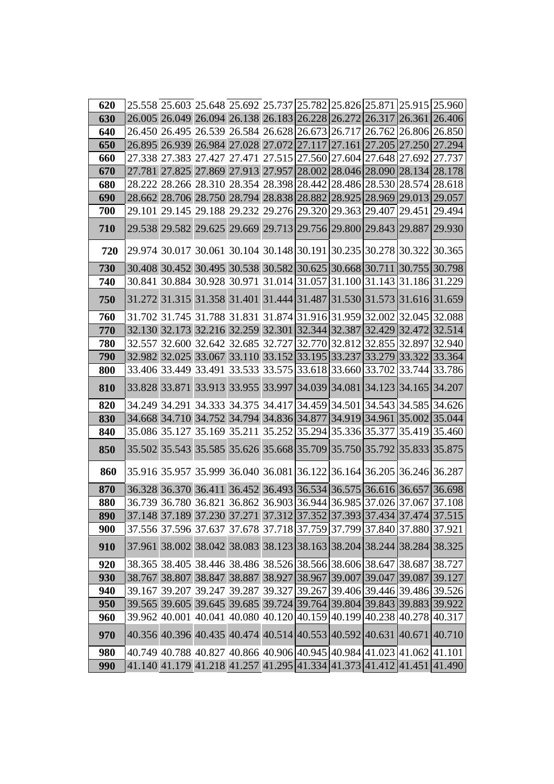| 620 |                                                                       |  |  |  | 25.558 25.603 25.648 25.692 25.737 25.782 25.826 25.871 25.915 25.960 |
|-----|-----------------------------------------------------------------------|--|--|--|-----------------------------------------------------------------------|
| 630 |                                                                       |  |  |  | 26.005 26.049 26.094 26.138 26.183 26.228 26.272 26.317 26.361 26.406 |
| 640 | 26.450 26.495 26.539 26.584 26.628 26.673 26.717 26.762 26.806 26.850 |  |  |  |                                                                       |
| 650 | 26.895 26.939 26.984 27.028 27.072 27.117 27.161 27.205 27.250        |  |  |  | 27.294                                                                |
| 660 | 27.338 27.383 27.427 27.471 27.515 27.560 27.604 27.648 27.692 27.737 |  |  |  |                                                                       |
| 670 | 27.781 27.825 27.869 27.913 27.957 28.002 28.046 28.090 28.134 28.178 |  |  |  |                                                                       |
| 680 | 28.222 28.266 28.310 28.354 28.398 28.442 28.486 28.530 28.574 28.618 |  |  |  |                                                                       |
| 690 | 28.662 28.706 28.750 28.794 28.838 28.882 28.925 28.969 29.013        |  |  |  | 29.057                                                                |
| 700 | 29.101 29.145 29.188 29.232 29.276 29.320 29.363 29.407 29.451        |  |  |  | 29.494                                                                |
| 710 | 29.538 29.582 29.625 29.669 29.713 29.756 29.800 29.843 29.887        |  |  |  | 29.930                                                                |
| 720 | 29.974 30.017 30.061 30.104 30.148 30.191 30.235 30.278 30.322 30.365 |  |  |  |                                                                       |
| 730 | 30.408 30.452 30.495 30.538 30.582 30.625 30.668 30.711 30.755 30.798 |  |  |  |                                                                       |
| 740 | 30.841 30.884 30.928 30.971 31.014 31.057 31.100 31.143 31.186 31.229 |  |  |  |                                                                       |
| 750 | 31.272 31.315 31.358 31.401 31.444 31.487 31.530 31.573 31.616 31.659 |  |  |  |                                                                       |
| 760 |                                                                       |  |  |  | 31.702 31.745 31.788 31.831 31.874 31.916 31.959 32.002 32.045 32.088 |
| 770 | 32.130 32.173 32.216 32.259 32.301 32.344 32.387 32.429 32.472 32.514 |  |  |  |                                                                       |
| 780 | 32.557 32.600 32.642 32.685 32.727 32.770 32.812 32.855 32.897 32.940 |  |  |  |                                                                       |
| 790 | 32.982 32.025 33.067 33.110 33.152 33.195 33.237 33.279 33.322        |  |  |  | 33.364                                                                |
| 800 | 33.406 33.449 33.491 33.533 33.575 33.618 33.660 33.702 33.744 33.786 |  |  |  |                                                                       |
| 810 | 33.828 33.871 33.913 33.955 33.997 34.039 34.081 34.123 34.165 34.207 |  |  |  |                                                                       |
| 820 |                                                                       |  |  |  | 34.249 34.291 34.333 34.375 34.417 34.459 34.501 34.543 34.585 34.626 |
| 830 |                                                                       |  |  |  | 34.668 34.710 34.752 34.794 34.836 34.877 34.919 34.961 35.002 35.044 |
| 840 | 35.086 35.127 35.169 35.211 35.252 35.294 35.336 35.377 35.419 35.460 |  |  |  |                                                                       |
| 850 | 35.502 35.543 35.585 35.626 35.668 35.709 35.750 35.792 35.833 35.875 |  |  |  |                                                                       |
| 860 |                                                                       |  |  |  | 35.916 35.957 35.999 36.040 36.081 36.122 36.164 36.205 36.246 36.287 |
| 870 | 36.328 36.370 36.411 36.452 36.493 36.534 36.575 36.616 36.657 36.698 |  |  |  |                                                                       |
| 880 | 36.739 36.780 36.821 36.862 36.903 36.944 36.985 37.026 37.067 37.108 |  |  |  |                                                                       |
| 890 |                                                                       |  |  |  | 37.148 37.189 37.230 37.271 37.312 37.352 37.393 37.434 37.474 37.515 |
| 900 | 37.556 37.596 37.637 37.678 37.718 37.759 37.799 37.840 37.880 37.921 |  |  |  |                                                                       |
| 910 | 37.961 38.002 38.042 38.083 38.123 38.163 38.204 38.244 38.284        |  |  |  | 38.325                                                                |
| 920 | 38.365 38.405 38.446 38.486 38.526 38.566 38.606 38.647 38.687 38.727 |  |  |  |                                                                       |
| 930 | 38.767 38.807 38.847 38.887 38.927 38.967 39.007 39.047 39.087        |  |  |  | 39.127                                                                |
| 940 | 39.167 39.207 39.247 39.287 39.327 39.267 39.406 39.446 39.486 39.526 |  |  |  |                                                                       |
| 950 | 39.565 39.605 39.645 39.685 39.724 39.764 39.804 39.843 39.883 39.922 |  |  |  |                                                                       |
| 960 | 39.962 40.001 40.041 40.080 40.120 40.159 40.199 40.238 40.278        |  |  |  | 40.317                                                                |
| 970 | 40.356 40.396 40.435 40.474 40.514 40.553 40.592 40.631 40.671        |  |  |  | 40.710                                                                |
| 980 |                                                                       |  |  |  | 40.749 40.788 40.827 40.866 40.906 40.945 40.984 41.023 41.062 41.101 |
| 990 |                                                                       |  |  |  | 41.140 41.179 41.218 41.257 41.295 41.334 41.373 41.412 41.451 41.490 |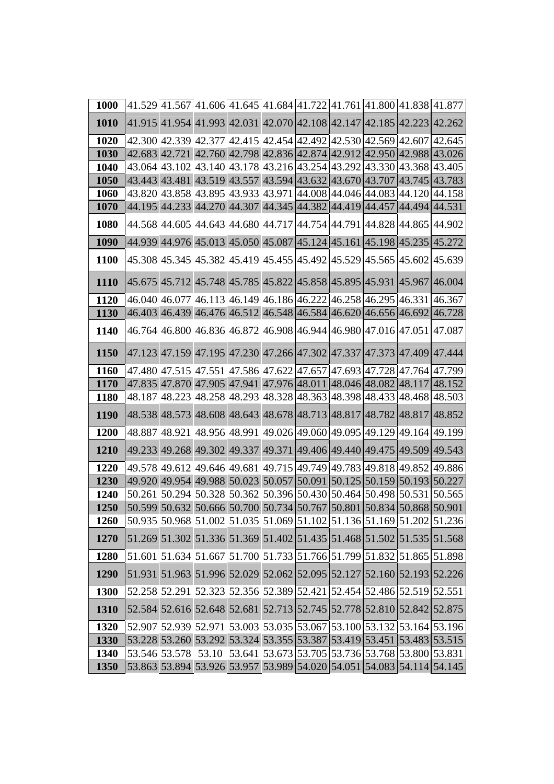| 1000        |                                                                       |  |  |  | 41.529 41.567 41.606 41.645 41.684 41.722 41.761 41.800 41.838 41.877 |
|-------------|-----------------------------------------------------------------------|--|--|--|-----------------------------------------------------------------------|
| 1010        | 41.915 41.954 41.993 42.031 42.070 42.108 42.147 42.185 42.223 42.262 |  |  |  |                                                                       |
| 1020        | 42.300 42.339 42.377 42.415 42.454 42.492 42.530 42.569 42.607 42.645 |  |  |  |                                                                       |
| 1030        | 42.683 42.721 42.760 42.798 42.836 42.874 42.912 42.950 42.988 43.026 |  |  |  |                                                                       |
| 1040        | 43.064 43.102 43.140 43.178 43.216 43.254 43.292 43.330 43.368 43.405 |  |  |  |                                                                       |
| 1050        | 43.443 43.481 43.519 43.557 43.594 43.632 43.670 43.707 43.745 43.783 |  |  |  |                                                                       |
| 1060        | 43.820 43.858 43.895 43.933 43.971 44.008 44.046 44.083 44.120 44.158 |  |  |  |                                                                       |
| 1070        | 44.195 44.233 44.270 44.307 44.345 44.382 44.419 44.457 44.494 44.531 |  |  |  |                                                                       |
| 1080        | 44.568 44.605 44.643 44.680 44.717 44.754 44.791 44.828 44.865 44.902 |  |  |  |                                                                       |
| 1090        | 44.939 44.976 45.013 45.050 45.087 45.124 45.161 45.198 45.235        |  |  |  | 45.272                                                                |
| 1100        | 45.308 45.345 45.382 45.419 45.455 45.492 45.529 45.565 45.602        |  |  |  | 45.639                                                                |
| <b>1110</b> | 45.675 45.712 45.748 45.785 45.822 45.858 45.895 45.931 45.967 46.004 |  |  |  |                                                                       |
| 1120        | 46.040 46.077 46.113 46.149 46.186 46.222 46.258 46.295 46.331        |  |  |  | 46.367                                                                |
| 1130        | 46.403 46.439 46.476 46.512 46.548 46.584 46.620 46.656 46.692 46.728 |  |  |  |                                                                       |
| 1140        | 46.764 46.800 46.836 46.872 46.908 46.944 46.980 47.016 47.051 47.087 |  |  |  |                                                                       |
|             |                                                                       |  |  |  |                                                                       |
| 1150        | 47.123 47.159 47.195 47.230 47.266 47.302 47.337 47.373 47.409 47.444 |  |  |  |                                                                       |
| 1160        | 47.480 47.515 47.551 47.586 47.622 47.657 47.693 47.728 47.764 47.799 |  |  |  |                                                                       |
| <b>1170</b> |                                                                       |  |  |  | 47.835 47.870 47.905 47.941 47.976 48.011 48.046 48.082 48.117 48.152 |
| <b>1180</b> | 48.187 48.223 48.258 48.293 48.328 48.363 48.398 48.433 48.468 48.503 |  |  |  |                                                                       |
| 1190        | 48.538 48.573 48.608 48.643 48.678 48.713 48.817 48.782 48.817 48.852 |  |  |  |                                                                       |
| 1200        | 48.887 48.921 48.956 48.991 49.026 49.060 49.095 49.129 49.164 49.199 |  |  |  |                                                                       |
| 1210        | 49.233 49.268 49.302 49.337 49.371 49.406 49.440 49.475 49.509        |  |  |  | 49.543                                                                |
| 1220        |                                                                       |  |  |  | 49.578 49.612 49.646 49.681 49.715 49.749 49.783 49.818 49.852 49.886 |
| 1230        | 49.920 49.954 49.988 50.023 50.057 50.091 50.125 50.159 50.193 50.227 |  |  |  |                                                                       |
| 1240        |                                                                       |  |  |  | 50.261 50.294 50.328 50.362 50.396 50.430 50.464 50.498 50.531 50.565 |
| 1250        | 50.599 50.632 50.666 50.700 50.734 50.767 50.801 50.834 50.868 50.901 |  |  |  |                                                                       |
| 1260        |                                                                       |  |  |  | 50.935 50.968 51.002 51.035 51.069 51.102 51.136 51.169 51.202 51.236 |
| 1270        |                                                                       |  |  |  | 51.269 51.302 51.336 51.369 51.402 51.435 51.468 51.502 51.535 51.568 |
| 1280        |                                                                       |  |  |  | 51.601 51.634 51.667 51.700 51.733 51.766 51.799 51.832 51.865 51.898 |
| 1290        |                                                                       |  |  |  | 51.931 51.963 51.996 52.029 52.062 52.095 52.127 52.160 52.193 52.226 |
| <b>1300</b> | 52.258 52.291 52.323 52.356 52.389 52.421 52.454 52.486 52.519 52.551 |  |  |  |                                                                       |
| 1310        | 52.584 52.616 52.648 52.681 52.713 52.745 52.778 52.810 52.842 52.875 |  |  |  |                                                                       |
| 1320        |                                                                       |  |  |  | 52.907 52.939 52.971 53.003 53.035 53.067 53.100 53.132 53.164 53.196 |
| 1330        |                                                                       |  |  |  | 53.228 53.260 53.292 53.324 53.355 53.387 53.419 53.451 53.483 53.515 |
| 1340        | 53.546 53.578 53.10 53.641 53.673 53.705 53.736 53.768 53.800 53.831  |  |  |  |                                                                       |
| 1350        |                                                                       |  |  |  | 53.863 53.894 53.926 53.957 53.989 54.020 54.051 54.083 54.114 54.145 |